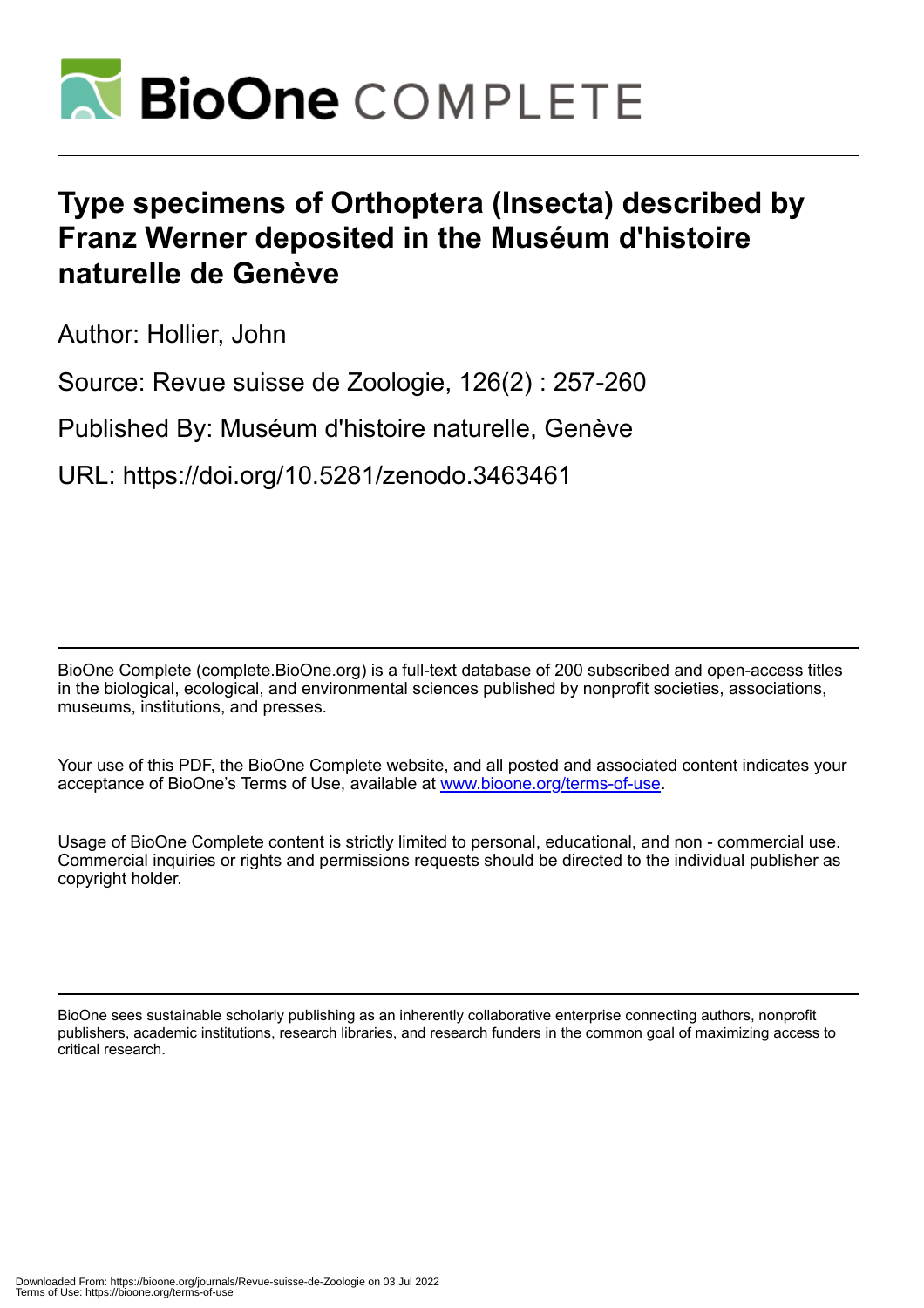

# **Type specimens of Orthoptera (Insecta) described by Franz Werner deposited in the Muséum d'histoire naturelle de Genève**

Author: Hollier, John

Source: Revue suisse de Zoologie, 126(2) : 257-260

Published By: Muséum d'histoire naturelle, Genève

URL: https://doi.org/10.5281/zenodo.3463461

BioOne Complete (complete.BioOne.org) is a full-text database of 200 subscribed and open-access titles in the biological, ecological, and environmental sciences published by nonprofit societies, associations, museums, institutions, and presses.

Your use of this PDF, the BioOne Complete website, and all posted and associated content indicates your acceptance of BioOne's Terms of Use, available at www.bioone.org/terms-of-use.

Usage of BioOne Complete content is strictly limited to personal, educational, and non - commercial use. Commercial inquiries or rights and permissions requests should be directed to the individual publisher as copyright holder.

BioOne sees sustainable scholarly publishing as an inherently collaborative enterprise connecting authors, nonprofit publishers, academic institutions, research libraries, and research funders in the common goal of maximizing access to critical research.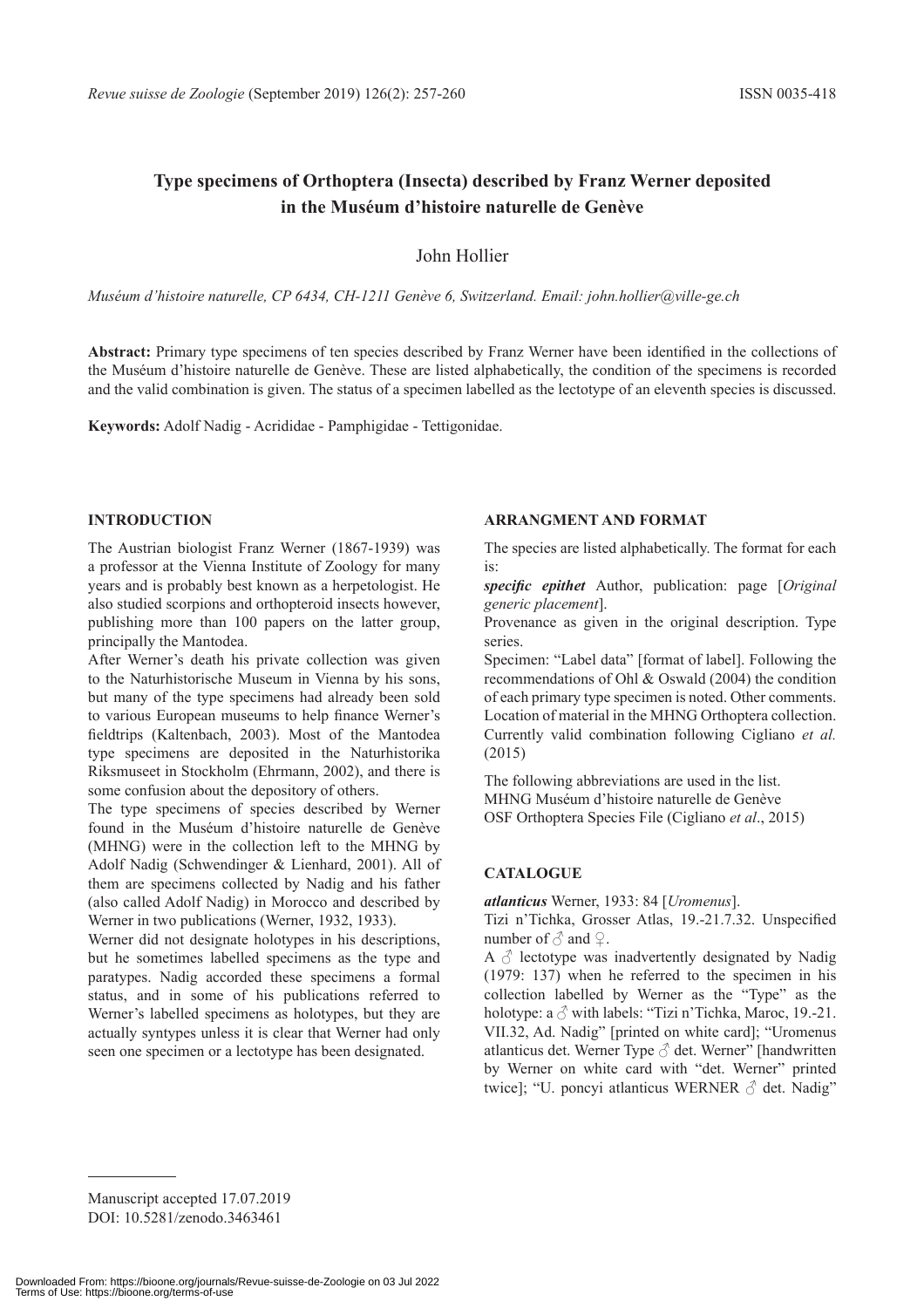## **Type specimens of Orthoptera (Insecta) described by Franz Werner deposited in the Muséum d'histoire naturelle de Genève**

## John Hollier

*Muséum d'histoire naturelle, CP 6434, CH-1211 Genève 6, Switzerland. Email: john.hollier@ville-ge.ch*

Abstract: Primary type specimens of ten species described by Franz Werner have been identified in the collections of the Muséum d'histoire naturelle de Genève. These are listed alphabetically, the condition of the specimens is recorded and the valid combination is given. The status of a specimen labelled as the lectotype of an eleventh species is discussed.

**Keywords:** Adolf Nadig - Acrididae - Pamphigidae - Tettigonidae.

## **INTRODUCTION**

The Austrian biologist Franz Werner (1867-1939) was a professor at the Vienna Institute of Zoology for many years and is probably best known as a herpetologist. He also studied scorpions and orthopteroid insects however, publishing more than 100 papers on the latter group, principally the Mantodea.

After Werner's death his private collection was given to the Naturhistorische Museum in Vienna by his sons, but many of the type specimens had already been sold to various European museums to help finance Werner's fieldtrips (Kaltenbach, 2003). Most of the Mantodea type specimens are deposited in the Naturhistorika Riksmuseet in Stockholm (Ehrmann, 2002), and there is some confusion about the depository of others.

The type specimens of species described by Werner found in the Muséum d'histoire naturelle de Genève (MHNG) were in the collection left to the MHNG by Adolf Nadig (Schwendinger & Lienhard, 2001). All of them are specimens collected by Nadig and his father (also called Adolf Nadig) in Morocco and described by Werner in two publications (Werner, 1932, 1933).

Werner did not designate holotypes in his descriptions, but he sometimes labelled specimens as the type and paratypes. Nadig accorded these specimens a formal status, and in some of his publications referred to Werner's labelled specimens as holotypes, but they are actually syntypes unless it is clear that Werner had only seen one specimen or a lectotype has been designated.

#### **ARRANGMENT AND FORMAT**

The species are listed alphabetically. The format for each is:

specific epithet Author, publication: page [*Original generic placement*].

Provenance as given in the original description. Type series.

Specimen: "Label data" [format of label]. Following the recommendations of Ohl & Oswald (2004) the condition of each primary type specimen is noted. Other comments. Location of material in the MHNG Orthoptera collection. Currently valid combination following Cigliano *et al.* (2015)

The following abbreviations are used in the list. MHNG Muséum d'histoire naturelle de Genève OSF Orthoptera Species File (Cigliano *et al*., 2015)

## **CATALOGUE**

*atlanticus* Werner, 1933: 84 [*Uromenus*].

Tizi n'Tichka, Grosser Atlas, 19.-21.7.32. Unspecified number of  $\delta$  and  $\mathcal{Q}$ .

A  $\delta$  lectotype was inadvertently designated by Nadig (1979: 137) when he referred to the specimen in his collection labelled by Werner as the "Type" as the holotype: a  $\delta$  with labels: "Tizi n'Tichka, Maroc, 19.-21. VII.32, Ad. Nadig" [printed on white card]; "Uromenus atlanticus det. Werner Type  $\delta$  det. Werner" [handwritten by Werner on white card with "det. Werner" printed twice]; "U. poncyi atlanticus WERNER  $\delta$  det. Nadig"

Manuscript accepted 17.07.2019 DOI: 10.5281/zenodo.3463461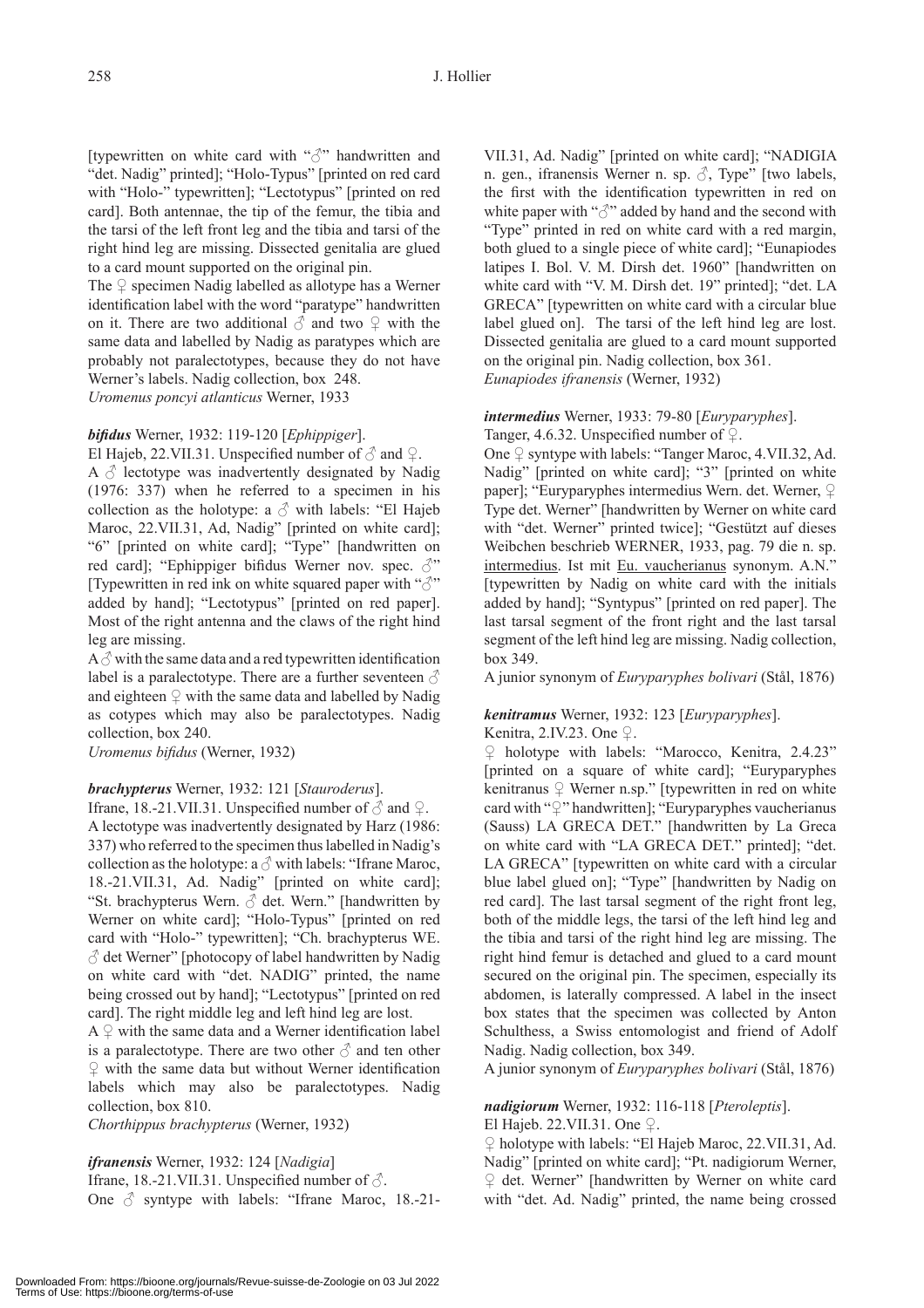[typewritten on white card with "♂" handwritten and "det. Nadig" printed]; "Holo-Typus" [printed on red card with "Holo-" typewritten]; "Lectotypus" [printed on red card]. Both antennae, the tip of the femur, the tibia and the tarsi of the left front leg and the tibia and tarsi of the right hind leg are missing. Dissected genitalia are glued to a card mount supported on the original pin.

The  $\varphi$  specimen Nadig labelled as allotype has a Werner identification label with the word "paratype" handwritten on it. There are two additional  $\delta$  and two  $\varphi$  with the same data and labelled by Nadig as paratypes which are probably not paralectotypes, because they do not have Werner's labels. Nadig collection, box 248.

*Uromenus poncyi atlanticus* Werner, 1933

## *bifi dus* Werner, 1932: 119-120 [*Ephippiger*].

El Hajeb, 22. VII.31. Unspecified number of  $\delta$  and  $\Omega$ . A  $\delta$  lectotype was inadvertently designated by Nadig (1976: 337) when he referred to a specimen in his collection as the holotype: a  $\circlearrowleft$  with labels: "El Hajeb Maroc, 22.VII.31, Ad, Nadig" [printed on white card]; "6" [printed on white card]; "Type" [handwritten on red card]; "Ephippiger bifidus Werner nov. spec.  $\mathcal{O}$ " [Typewritten in red ink on white squared paper with " $\beta$ " added by hand]; "Lectotypus" [printed on red paper]. Most of the right antenna and the claws of the right hind leg are missing.

 $A \circlearrowleft$  with the same data and a red typewritten identification label is a paralectotype. There are a further seventeen  $\delta$ and eighteen  $\mathcal{Q}$  with the same data and labelled by Nadig as cotypes which may also be paralectotypes. Nadig collection, box 240.

*Uromenus bifidus* (Werner, 1932)

## *brachypterus* Werner, 1932: 121 [*Stauroderus*].

If rane, 18.-21.VII.31. Unspecified number of  $\delta$  and  $\Omega$ . A lectotype was inadvertently designated by Harz (1986: 337) who referred to the specimen thus labelled in Nadig's collection as the holotype: a  $\circlearrowleft$  with labels: "Ifrane Maroc, 18.-21.VII.31, Ad. Nadig" [printed on white card]; "St. brachypterus Wern.  $\delta$  det. Wern." [handwritten by Werner on white card]; "Holo-Typus" [printed on red card with "Holo-" typewritten]; "Ch. brachypterus WE.  $\textcircled{3}$ det Werner" [photocopy of label handwritten by Nadig on white card with "det. NADIG" printed, the name being crossed out by hand]; "Lectotypus" [printed on red card]. The right middle leg and left hind leg are lost.

 $A \nsubseteq$  with the same data and a Werner identification label is a paralectotype. There are two other  $\delta$  and ten other  $\mathcal{Q}$  with the same data but without Werner identification labels which may also be paralectotypes. Nadig collection, box 810.

*Chorthippus brachypterus* (Werner, 1932)

## *ifranensis* Werner, 1932: 124 [*Nadigia*]

Ifrane, 18.-21.VII.31. Unspecified number of  $\delta$ . One  $\delta$  syntype with labels: "Ifrane Maroc, 18.-21VII.31, Ad. Nadig" [printed on white card]; "NADIGIA n. gen., ifranensis Werner n. sp.  $\Diamond$ , Type" [two labels, the first with the identification typewritten in red on white paper with "3" added by hand and the second with "Type" printed in red on white card with a red margin, both glued to a single piece of white card]; "Eunapiodes latipes I. Bol. V. M. Dirsh det. 1960" [handwritten on white card with "V. M. Dirsh det. 19" printed]; "det. LA GRECA" [typewritten on white card with a circular blue label glued on]. The tarsi of the left hind leg are lost. Dissected genitalia are glued to a card mount supported on the original pin. Nadig collection, box 361. *Eunapiodes ifranensis* (Werner, 1932)

*intermedius* Werner, 1933: 79-80 [*Euryparyphes*]. Tanger, 4.6.32. Unspecified number of  $\mathcal{Q}$ .

One ♀ syntype with labels: "Tanger Maroc, 4.VII.32, Ad. Nadig" [printed on white card]; "3" [printed on white paper]; "Euryparyphes intermedius Wern. det. Werner,  $\varphi$ Type det. Werner" [handwritten by Werner on white card with "det. Werner" printed twice]; "Gestützt auf dieses Weibchen beschrieb WERNER, 1933, pag. 79 die n. sp. intermedius. Ist mit Eu. vaucherianus synonym. A.N." [typewritten by Nadig on white card with the initials added by hand]; "Syntypus" [printed on red paper]. The last tarsal segment of the front right and the last tarsal segment of the left hind leg are missing. Nadig collection, box 349.

A junior synonym of *Euryparyphes bolivari* (Stål, 1876)

## *kenitramus* Werner, 1932: 123 [*Euryparyphes*].

Kenitra, 2.IV.23. One  $\varphi$ .

♀ holotype with labels: "Marocco, Kenitra, 2.4.23" [printed on a square of white card]; "Euryparyphes kenitranus  $\varphi$  Werner n.sp." [typewritten in red on white card with "♀" handwritten]; "Euryparyphes vaucherianus (Sauss) LA GRECA DET." [handwritten by La Greca on white card with "LA GRECA DET." printed]; "det. LA GRECA" [typewritten on white card with a circular blue label glued on]; "Type" [handwritten by Nadig on red card]. The last tarsal segment of the right front leg, both of the middle legs, the tarsi of the left hind leg and the tibia and tarsi of the right hind leg are missing. The right hind femur is detached and glued to a card mount secured on the original pin. The specimen, especially its abdomen, is laterally compressed. A label in the insect box states that the specimen was collected by Anton Schulthess, a Swiss entomologist and friend of Adolf Nadig. Nadig collection, box 349.

A junior synonym of *Euryparyphes bolivari* (Stål, 1876)

# *nadigiorum* Werner, 1932: 116-118 [*Pteroleptis*].

El Hajeb. 22.VII.31. One ♀.

♀ holotype with labels: "El Hajeb Maroc, 22.VII.31, Ad. Nadig" [printed on white card]; "Pt. nadigiorum Werner, ♀ det. Werner" [handwritten by Werner on white card with "det. Ad. Nadig" printed, the name being crossed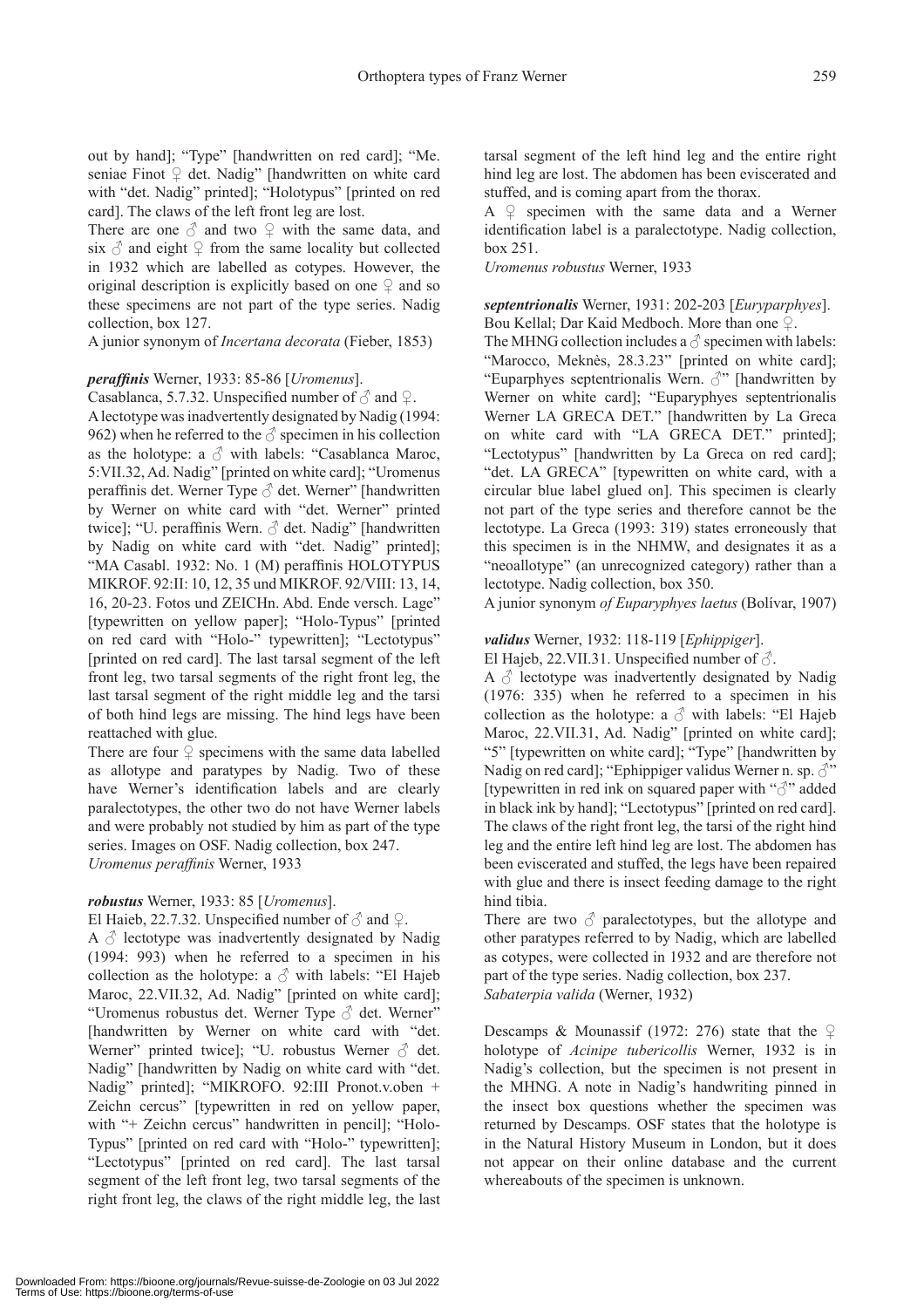out by hand]; "Type" [handwritten on red card]; "Me. seniae Finot  $\varphi$  det. Nadig" [handwritten on white card with "det. Nadig" printed]; "Holotypus" [printed on red card]. The claws of the left front leg are lost.

There are one  $\delta$  and two  $\mathcal{Q}$  with the same data, and six  $\delta$  and eight  $\Omega$  from the same locality but collected in 1932 which are labelled as cotypes. However, the original description is explicitly based on one  $\varphi$  and so these specimens are not part of the type series. Nadig collection, box 127.

A junior synonym of *Incertana decorata* (Fieber, 1853)

#### *peraffi nis* Werner, 1933: 85-86 [*Uromenus*].

Casablanca, 5.7.32. Unspecified number of  $\delta$  and  $\varphi$ . A lectotype was inadvertently designated by Nadig (1994: 962) when he referred to the  $\delta$  specimen in his collection as the holotype: a  $\Diamond$  with labels: "Casablanca Maroc, 5:VII.32, Ad. Nadig" [printed on white card]; "Uromenus peraffinis det. Werner Type  $\delta$  det. Werner" [handwritten by Werner on white card with "det. Werner" printed twice]; "U. peraffinis Wern.  $\delta$  det. Nadig" [handwritten by Nadig on white card with "det. Nadig" printed]; "MA Casabl. 1932: No. 1 (M) peraffinis HOLOTYPUS MIKROF. 92:II: 10, 12, 35 und MIKROF. 92/VIII: 13, 14, 16, 20-23. Fotos und ZEICHn. Abd. Ende versch. Lage" [typewritten on yellow paper]; "Holo-Typus" [printed on red card with "Holo-" typewritten]; "Lectotypus" [printed on red card]. The last tarsal segment of the left front leg, two tarsal segments of the right front leg, the last tarsal segment of the right middle leg and the tarsi of both hind legs are missing. The hind legs have been reattached with glue.

There are four  $\varphi$  specimens with the same data labelled as allotype and paratypes by Nadig. Two of these have Werner's identification labels and are clearly paralectotypes, the other two do not have Werner labels and were probably not studied by him as part of the type series. Images on OSF. Nadig collection, box 247. *Uromenus peraffinis* Werner, 1933

#### *robustus* Werner, 1933: 85 [*Uromenus*].

El Haieb, 22.7.32. Unspecified number of  $\delta$  and  $\Omega$ . A  $\delta$  lectotype was inadvertently designated by Nadig (1994: 993) when he referred to a specimen in his collection as the holotype: a  $\Diamond$  with labels: "El Hajeb Maroc, 22.VII.32, Ad. Nadig" [printed on white card]; "Uromenus robustus det. Werner Type  $\delta$  det. Werner" [handwritten by Werner on white card with "det. Werner" printed twice]; "U. robustus Werner  $\delta$  det. Nadig" [handwritten by Nadig on white card with "det. Nadig" printed]; "MIKROFO. 92:III Pronot.v.oben + Zeichn cercus" [typewritten in red on yellow paper, with "+ Zeichn cercus" handwritten in pencil]; "Holo-Typus" [printed on red card with "Holo-" typewritten]; "Lectotypus" [printed on red card]. The last tarsal segment of the left front leg, two tarsal segments of the right front leg, the claws of the right middle leg, the last tarsal segment of the left hind leg and the entire right hind leg are lost. The abdomen has been eviscerated and stuffed, and is coming apart from the thorax.

A  $\varphi$  specimen with the same data and a Werner identification label is a paralectotype. Nadig collection, box 251.

*Uromenus robustus* Werner, 1933

#### *septentrionalis* Werner, 1931: 202-203 [*Euryparphyes*]. Bou Kellal; Dar Kaid Medboch. More than one ♀.

The MHNG collection includes a  $\delta$  specimen with labels: "Marocco, Meknès, 28.3.23" [printed on white card]; "Euparphyes septentrionalis Wern.  $\mathcal{S}$ " [handwritten by Werner on white card]; "Euparyphyes septentrionalis Werner LA GRECA DET." [handwritten by La Greca on white card with "LA GRECA DET." printed]; "Lectotypus" [handwritten by La Greca on red card]; "det. LA GRECA" [typewritten on white card, with a circular blue label glued on]. This specimen is clearly not part of the type series and therefore cannot be the lectotype. La Greca (1993: 319) states erroneously that this specimen is in the NHMW, and designates it as a "neoallotype" (an unrecognized category) rather than a lectotype. Nadig collection, box 350.

A junior synonym *of Euparyphyes laetus* (Bolívar, 1907)

#### *validus* Werner, 1932: 118-119 [*Ephippiger*].

El Hajeb, 22.VII.31. Unspecified number of  $\delta$ .

A  $\Diamond$  lectotype was inadvertently designated by Nadig (1976: 335) when he referred to a specimen in his collection as the holotype: a  $\Diamond$  with labels: "El Hajeb Maroc, 22.VII.31, Ad. Nadig" [printed on white card]; "5" [typewritten on white card]; "Type" [handwritten by Nadig on red card]; "Ephippiger validus Werner n. sp.  $\mathcal{J}$ " [typewritten in red ink on squared paper with "♂" added in black ink by hand]; "Lectotypus" [printed on red card]. The claws of the right front leg, the tarsi of the right hind leg and the entire left hind leg are lost. The abdomen has been eviscerated and stuffed, the legs have been repaired with glue and there is insect feeding damage to the right hind tibia.

There are two  $\delta$  paralectotypes, but the allotype and other paratypes referred to by Nadig, which are labelled as cotypes, were collected in 1932 and are therefore not part of the type series. Nadig collection, box 237. *Sabaterpia valida* (Werner, 1932)

Descamps & Mounassif (1972: 276) state that the  $\varphi$ holotype of *Acinipe tubericollis* Werner, 1932 is in Nadig's collection, but the specimen is not present in the MHNG. A note in Nadig's handwriting pinned in the insect box questions whether the specimen was returned by Descamps. OSF states that the holotype is in the Natural History Museum in London, but it does not appear on their online database and the current whereabouts of the specimen is unknown.